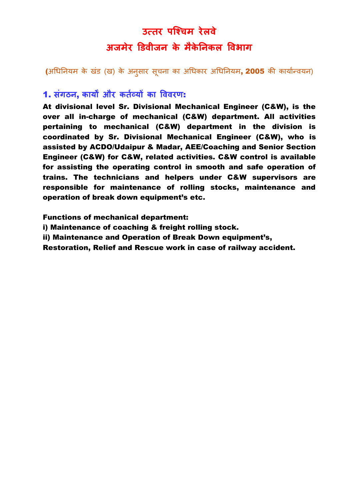# **उत्तर पश्चिम रेलवे अजमेर डिवीजन के मैके ननकल ववभाग**

(अधिनियम के खंड (ख) के अनुसार सूचना का अधिकार अधिनियम, 2005 की कार्यान्वयन)

### 1. **संगठन**, **कार्यों और कततव्र्यों का वववरण**:

At divisional level Sr. Divisional Mechanical Engineer (C&W), is the over all in-charge of mechanical (C&W) department. All activities pertaining to mechanical (C&W) department in the division is coordinated by Sr. Divisional Mechanical Engineer (C&W), who is assisted by ACDO/Udaipur & Madar, AEE/Coaching and Senior Section Engineer (C&W) for C&W, related activities. C&W control is available for assisting the operating control in smooth and safe operation of trains. The technicians and helpers under C&W supervisors are responsible for maintenance of rolling stocks, maintenance and operation of break down equipment's etc.

Functions of mechanical department:

i) Maintenance of coaching & freight rolling stock.

ii) Maintenance and Operation of Break Down equipment's,

Restoration, Relief and Rescue work in case of railway accident.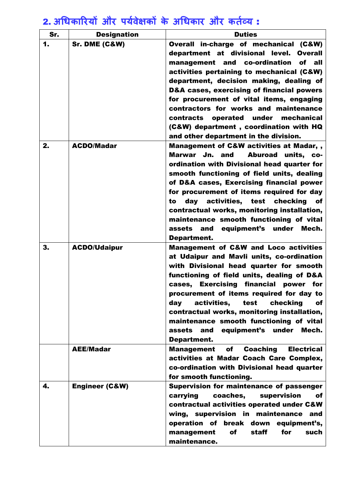# 2. **अधिकाररर्यों और पर्यतवेक्षकों के अधिकार और कततव्र्य** :

| Sr. | <b>Designation</b>        | <b>Duties</b>                                                                                                                                                                                                                                                                                                                                                                                                                                                                              |  |  |
|-----|---------------------------|--------------------------------------------------------------------------------------------------------------------------------------------------------------------------------------------------------------------------------------------------------------------------------------------------------------------------------------------------------------------------------------------------------------------------------------------------------------------------------------------|--|--|
| 1.  | <b>Sr. DME (C&amp;W)</b>  | Overall in-charge of mechanical (C&W)<br>department at divisional level. Overall<br>management and co-ordination<br>of all<br>activities pertaining to mechanical (C&W)<br>department, decision making, dealing of<br>D&A cases, exercising of financial powers<br>for procurement of vital items, engaging<br>contractors for works and maintenance<br>under mechanical<br>contracts<br>operated<br>(C&W) department, coordination with HQ<br>and other department in the division.       |  |  |
| 2.  | <b>ACDO/Madar</b>         | Management of C&W activities at Madar,,<br>Marwar Jn. and<br><b>Aburoad</b><br>units, co-<br>ordination with Divisional head quarter for<br>smooth functioning of field units, dealing<br>of D&A cases, Exercising financial power<br>for procurement of items required for day<br>activities, test checking<br>day<br>to<br>of<br>contractual works, monitoring installation,<br>maintenance smooth functioning of vital<br>and<br>under<br>Mech.<br>assets<br>equipment's<br>Department. |  |  |
| 3.  | <b>ACDO/Udaipur</b>       | <b>Management of C&amp;W and Loco activities</b><br>at Udaipur and Mavli units, co-ordination<br>with Divisional head quarter for smooth<br>functioning of field units, dealing of D&A<br>cases, Exercising financial power for<br>procurement of items required for day to<br>activities, test checking<br>of<br>day<br>contractual works, monitoring installation,<br>maintenance smooth functioning of vital<br>assets and equipment's under Mech.<br>Department.                       |  |  |
|     | <b>AEE/Madar</b>          | <b>Management of Coaching</b><br><b>Electrical</b><br>activities at Madar Coach Care Complex,<br>co-ordination with Divisional head quarter<br>for smooth functioning.                                                                                                                                                                                                                                                                                                                     |  |  |
| 4.  | <b>Engineer (C&amp;W)</b> | Supervision for maintenance of passenger<br>carrying<br>coaches,<br>supervision<br>оf<br>contractual activities operated under C&W<br>wing, supervision in maintenance and<br>operation of break down equipment's,<br>management<br><b>of</b><br>for<br>staff<br>such<br>maintenance.                                                                                                                                                                                                      |  |  |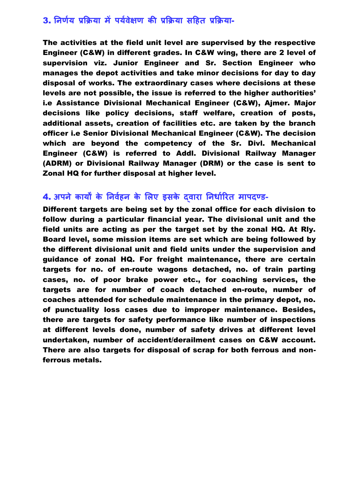#### 3. **ननणर्यत प्रक्रिर्या मेंपर्यवत ेक्षण की प्रक्रिर्या सहित प्रक्रिर्या**-

The activities at the field unit level are supervised by the respective Engineer (C&W) in different grades. In C&W wing, there are 2 level of supervision viz. Junior Engineer and Sr. Section Engineer who manages the depot activities and take minor decisions for day to day disposal of works. The extraordinary cases where decisions at these levels are not possible, the issue is referred to the higher authorities' i.e Assistance Divisional Mechanical Engineer (C&W), Ajmer. Major decisions like policy decisions, staff welfare, creation of posts, additional assets, creation of facilities etc. are taken by the branch officer i.e Senior Divisional Mechanical Engineer (C&W). The decision which are beyond the competency of the Sr. Divl. Mechanical Engineer (C&W) is referred to Addl. Divisional Railway Manager (ADRM) or Divisional Railway Manager (DRM) or the case is sent to Zonal HQ for further disposal at higher level.

#### 4. **अपने कार्यों के ननवतिन के ललए इसके द्वारा ननिातररत मापदण् ि-**

Different targets are being set by the zonal office for each division to follow during a particular financial year. The divisional unit and the field units are acting as per the target set by the zonal HQ. At Rly. Board level, some mission items are set which are being followed by the different divisional unit and field units under the supervision and guidance of zonal HQ. For freight maintenance, there are certain targets for no. of en-route wagons detached, no. of train parting cases, no. of poor brake power etc., for coaching services, the targets are for number of coach detached en-route, number of coaches attended for schedule maintenance in the primary depot, no. of punctuality loss cases due to improper maintenance. Besides, there are targets for safety performance like number of inspections at different levels done, number of safety drives at different level undertaken, number of accident/derailment cases on C&W account. There are also targets for disposal of scrap for both ferrous and nonferrous metals.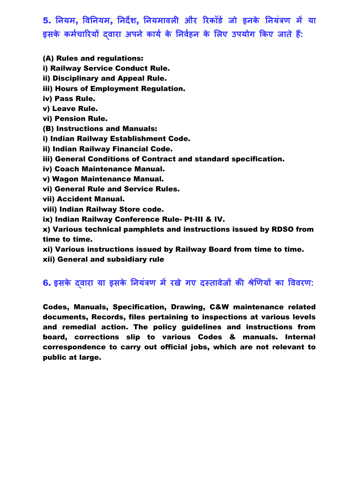## 5. **ननर्यम**, **ववननर्यम**, **ननदेश**, **ननर्यमावली और ररकॉित जो इनके ननर्यंत्रण में र्या इसके कमतिाररर्यों द्वारा अपनेकार्यत के ननवित न के ललए उपर्योग क्रकए जाते िैं :**

- (A) Rules and regulations:
- i) Railway Service Conduct Rule.
- ii) Disciplinary and Appeal Rule.
- iii) Hours of Employment Regulation.
- iv) Pass Rule.
- v) Leave Rule.
- vi) Pension Rule.
- (B) Instructions and Manuals:
- i) Indian Railway Establishment Code.
- ii) Indian Railway Financial Code.
- iii) General Conditions of Contract and standard specification.
- iv) Coach Maintenance Manual.
- v) Wagon Maintenance Manual.
- vi) General Rule and Service Rules.
- vii) Accident Manual.
- viii) Indian Railway Store code.
- ix) Indian Railway Conference Rule- Pt-III & IV.

x) Various technical pamphlets and instructions issued by RDSO from time to time.

- xi) Various instructions issued by Railway Board from time to time.
- xii) General and subsidiary rule

### 6. **इसके द्वारा र्या इसके ननर्यंत्रण में रखेगए दस्तावजे ों की श्रेणणर्यों का वववरण:**

Codes, Manuals, Specification, Drawing, C&W maintenance related documents, Records, files pertaining to inspections at various levels and remedial action. The policy guidelines and instructions from board, corrections slip to various Codes & manuals. Internal correspondence to carry out official jobs, which are not relevant to public at large.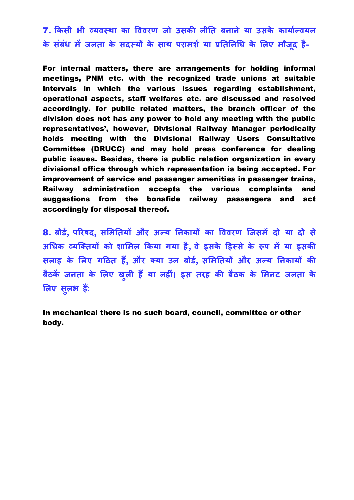7. **क्रकसी भी व्र्यवस्था का वववरण जो उसकी नीनत बनाने र्या उसके कार्यातन्वर्यन के संबंि मेंजनता के सदस्र्यों के साथ परामशत र्या प्रनतननधि के ललए मौज ूद िै-**

For internal matters, there are arrangements for holding informal meetings, PNM etc. with the recognized trade unions at suitable intervals in which the various issues regarding establishment, operational aspects, staff welfares etc. are discussed and resolved accordingly. for public related matters, the branch officer of the division does not has any power to hold any meeting with the public representatives', however, Divisional Railway Manager periodically holds meeting with the Divisional Railway Users Consultative Committee (DRUCC) and may hold press conference for dealing public issues. Besides, there is public relation organization in every divisional office through which representation is being accepted. For improvement of service and passenger amenities in passenger trains, Railway administration accepts the various complaints and suggestions from the bonafide railway passengers and act accordingly for disposal thereof.

8. **बोित**, **पररषद**, **सलमनतर्यों और अन्र्य ननकार्यों का वववरण श्जसमें दो र्या दो से अधिक व्र्यश्ततर्यों को शालमल क्रकर्या गर्या िै**, **वे इसके हिस्से के रूप में र्या इसकी सलाि के ललए गहठत िैं** , **और तर्या उन बोित**, **सलमनतर्यों और अन्र्य ननकार्यों की बठै कें जनता के ललए ख ु ली िैंर्या निीं। इस तरि की बैठक के लमनट जनता के ललए सल ु भ िैं :**

In mechanical there is no such board, council, committee or other body.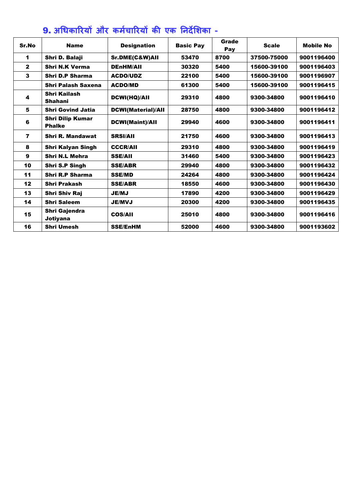## 9. **अधिकाररर्यों और कमित ाररर्यों की एक ननदेलशका -**

| Sr.No                   | <b>Name</b>                              | <b>Designation</b>        | <b>Basic Pay</b> | Grade<br>Pay | <b>Scale</b> | <b>Mobile No</b> |
|-------------------------|------------------------------------------|---------------------------|------------------|--------------|--------------|------------------|
| 1                       | Shri D. Balaji                           | Sr.DME(C&W)All            | 53470            | 8700         | 37500-75000  | 9001196400       |
| $\mathbf{2}$            | <b>Shri N.K Verma</b>                    | <b>DEnHM/AII</b>          | 30320            | 5400         | 15600-39100  | 9001196403       |
| 3                       | <b>Shri D.P Sharma</b>                   | <b>ACDO/UDZ</b>           | 22100            | 5400         | 15600-39100  | 9001196907       |
|                         | <b>Shri Palash Saxena</b>                | <b>ACDO/MD</b>            | 61300            | 5400         | 15600-39100  | 9001196415       |
| 4                       | <b>Shri Kailash</b><br><b>Shahani</b>    | <b>DCWI(HQ)/AII</b>       | 29310            | 4800         | 9300-34800   | 9001196410       |
| 5                       | <b>Shri Govind Jatia</b>                 | <b>DCWI(Material)/All</b> | 28750            | 4800         | 9300-34800   | 9001196412       |
| 6                       | <b>Shri Dilip Kumar</b><br><b>Phalke</b> | <b>DCWI(Maint)/All</b>    | 29940            | 4600         | 9300-34800   | 9001196411       |
| $\overline{\mathbf{z}}$ | <b>Shri R. Mandawat</b>                  | <b>SRSI/AII</b>           | 21750            | 4600         | 9300-34800   | 9001196413       |
| 8                       | <b>Shri Kalyan Singh</b>                 | <b>CCCR/AII</b>           | 29310            | 4800         | 9300-34800   | 9001196419       |
| 9                       | <b>Shri N.L Mehra</b>                    | <b>SSE/AII</b>            | 31460            | 5400         | 9300-34800   | 9001196423       |
| 10                      | <b>Shri S.P Singh</b>                    | <b>SSE/ABR</b>            | 29940            | 4800         | 9300-34800   | 9001196432       |
| 11                      | <b>Shri R.P Sharma</b>                   | <b>SSE/MD</b>             | 24264            | 4800         | 9300-34800   | 9001196424       |
| 12                      | <b>Shri Prakash</b>                      | <b>SSE/ABR</b>            | 18550            | 4600         | 9300-34800   | 9001196430       |
| 13                      | <b>Shri Shiv Raj</b>                     | <b>JE/MJ</b>              | 17890            | 4200         | 9300-34800   | 9001196429       |
| 14                      | <b>Shri Saleem</b>                       | <b>JE/MVJ</b>             | 20300            | 4200         | 9300-34800   | 9001196435       |
| 15                      | Shri Gajendra<br>Jotiyana                | <b>COS/AII</b>            | 25010            | 4800         | 9300-34800   | 9001196416       |
| 16                      | <b>Shri Umesh</b>                        | <b>SSE/EnHM</b>           | 52000            | 4600         | 9300-34800   | 9001193602       |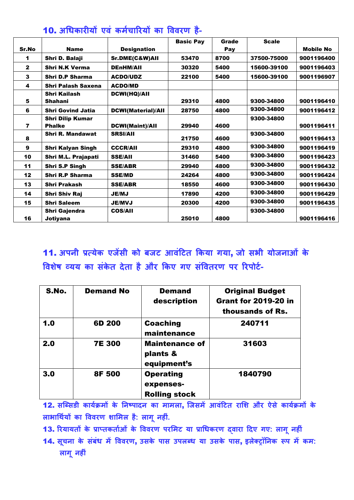|                |                           |                           | <b>Basic Pav</b> | Grade | <b>Scale</b> |                  |
|----------------|---------------------------|---------------------------|------------------|-------|--------------|------------------|
| Sr.No          | <b>Name</b>               | <b>Designation</b>        |                  | Pay   |              | <b>Mobile No</b> |
| 1              | Shri D. Balaji            | Sr.DME(C&W)All            | 53470            | 8700  | 37500-75000  | 9001196400       |
| $\mathbf{2}$   | <b>Shri N.K Verma</b>     | <b>DEnHM/AII</b>          | 30320            | 5400  | 15600-39100  | 9001196403       |
| 3              | <b>Shri D.P Sharma</b>    | <b>ACDO/UDZ</b>           | 22100            | 5400  | 15600-39100  | 9001196907       |
| 4              | <b>Shri Palash Saxena</b> | <b>ACDO/MD</b>            |                  |       |              |                  |
|                | <b>Shri Kailash</b>       | <b>DCWI(HQ)/AII</b>       |                  |       |              |                  |
| 5              | <b>Shahani</b>            |                           | 29310            | 4800  | 9300-34800   | 9001196410       |
| 6              | <b>Shri Govind Jatia</b>  | <b>DCWI(Material)/All</b> | 28750            | 4800  | 9300-34800   | 9001196412       |
|                | <b>Shri Dilip Kumar</b>   |                           |                  |       | 9300-34800   |                  |
| $\overline{7}$ | <b>Phalke</b>             | <b>DCWI(Maint)/All</b>    | 29940            | 4600  |              | 9001196411       |
| 8              | <b>Shri R. Mandawat</b>   | <b>SRSI/AII</b>           | 21750            | 4600  | 9300-34800   | 9001196413       |
| 9              | <b>Shri Kalyan Singh</b>  | <b>CCCR/AII</b>           | 29310            | 4800  | 9300-34800   | 9001196419       |
| 10             | Shri M.L. Prajapati       | <b>SSE/AII</b>            | 31460            | 5400  | 9300-34800   | 9001196423       |
| 11             | <b>Shri S.P Singh</b>     | <b>SSE/ABR</b>            | 29940            | 4800  | 9300-34800   | 9001196432       |
| 12             | <b>Shri R.P Sharma</b>    | <b>SSE/MD</b>             | 24264            | 4800  | 9300-34800   | 9001196424       |
| 13             | <b>Shri Prakash</b>       | <b>SSE/ABR</b>            | 18550            | 4600  | 9300-34800   | 9001196430       |
| 14             | <b>Shri Shiv Raj</b>      | <b>JE/MJ</b>              | 17890            | 4200  | 9300-34800   | 9001196429       |
| 15             | <b>Shri Saleem</b>        | <b>JE/MVJ</b>             | 20300            | 4200  | 9300-34800   | 9001196435       |
|                | <b>Shri Gajendra</b>      | <b>COS/AII</b>            |                  |       | 9300-34800   |                  |
| 16             | Jotiyana                  |                           | 25010            | 4800  |              | 9001196416       |

### 10. **अधिकारीर्यों एवं कमतिाररर्यों का वववरण िै-**

11. **अपनी प्रत्र्येक एजेंसी को बजट आवंहटत क्रकर्या गर्या**, **जो सभी र्योजनाओं के**  विशेष व्यय का संकेत देता है और किए गए संवितरण पर रिपोर्ट-

| S.No. | <b>Demand No</b>  | <b>Demand</b><br>description                          | <b>Original Budget</b><br><b>Grant for 2019-20 in</b><br>thousands of Rs. |
|-------|-------------------|-------------------------------------------------------|---------------------------------------------------------------------------|
| 1.0   | 6D <sub>200</sub> | <b>Coaching</b><br>maintenance                        | 240711                                                                    |
| 2.0   | <b>7E 300</b>     | <b>Maintenance of</b><br>plants &<br>equipment's      | 31603                                                                     |
| 3.0   | <b>8F 500</b>     | <b>Operating</b><br>expenses-<br><b>Rolling stock</b> | 1840790                                                                   |

12. **सश्ससिी कार्यतिमों के ननष्पादन का मामला**, **श्जसमें आवंहटत रालश और ऐसे कार्यतिमों के लाभाधथर्यत ों का वववरण शालमल िै : लागूनिीं.**

13. **ररर्यार्यतों के प्राप्तकतातओं के वववरण परलमट र्या प्राधिकरण द्वारा हदए गए: लागूनिीं**

14. **सूिना के संबंि में वववरण**, **उसके पास उपलसि र्या उसके पास**, **इलेतरॉननक रूप में कम: लागूनिीं**